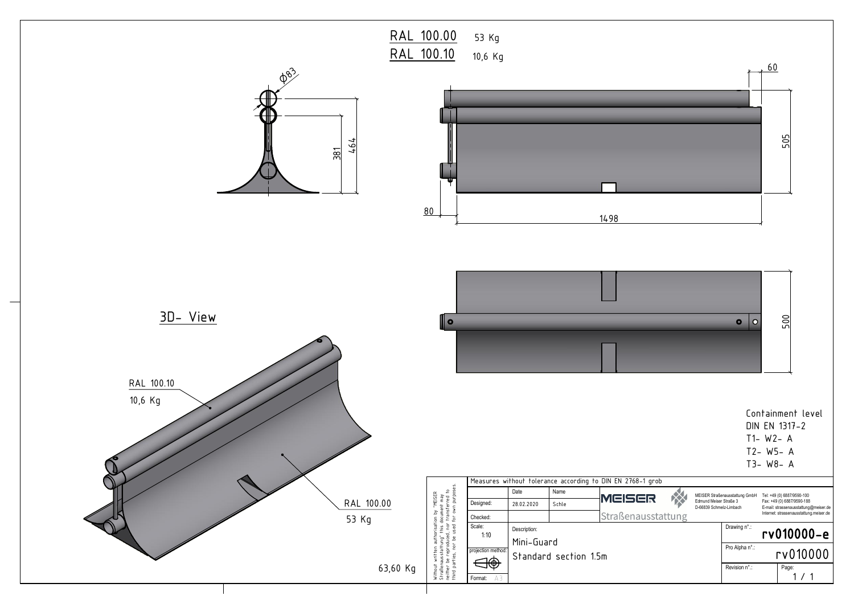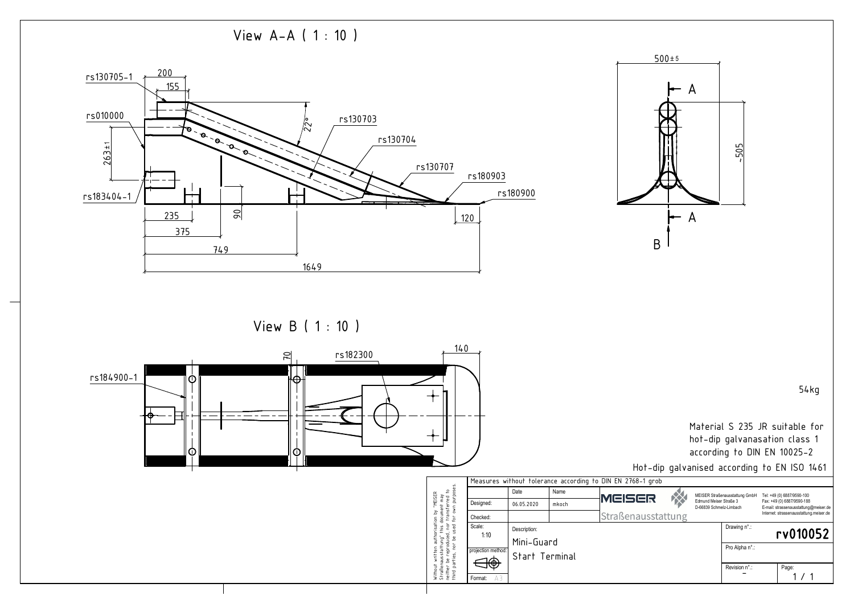| 1 grob            |                                                                                     |                |                                                                                                                                              |       |          |
|-------------------|-------------------------------------------------------------------------------------|----------------|----------------------------------------------------------------------------------------------------------------------------------------------|-------|----------|
| ER:<br>usstattung | MEISER Straßenausstattung GmbH<br>Edmund Meiser Straße 3<br>D-66839 Schmelz-Limbach |                | Tel: +49 (0) 6887/9590-100<br>Fax: +49 (0) 6887/9590-188<br>E-mail: strassenausstattung@meiser.de<br>Internet: strassenausstattung.meiser.de |       |          |
|                   |                                                                                     | Drawing n°.:   |                                                                                                                                              |       | rv010052 |
|                   |                                                                                     | Pro Alpha n°.: |                                                                                                                                              |       |          |
|                   |                                                                                     | Revision n°.:  |                                                                                                                                              | Page: |          |
|                   |                                                                                     |                |                                                                                                                                              |       |          |

View B ( 1 : 10 )







54kg

Material S 235 JR suitable for hot-dip galvanasation class 1 according to DIN EN 10025-2

Hot-dip galvanised according to EN ISO 1461